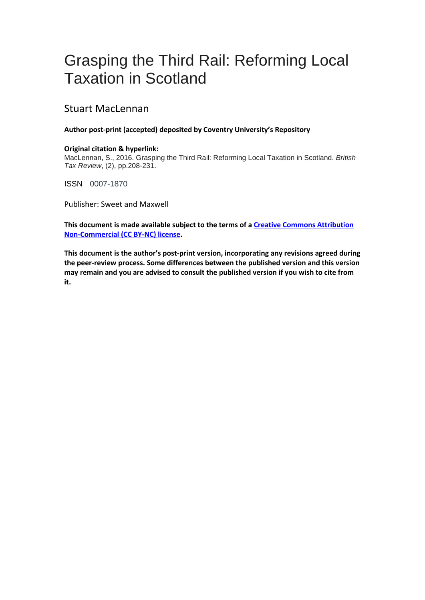# Grasping the Third Rail: Reforming Local Taxation in Scotland

# Stuart MacLennan

## **Author post-print (accepted) deposited by Coventry University's Repository**

## **Original citation & hyperlink:**

MacLennan, S., 2016. Grasping the Third Rail: Reforming Local Taxation in Scotland. *British Tax Review*, (2), pp.208-231.

ISSN 0007-1870

Publisher: Sweet and Maxwell

**This document is made available subject to the terms of [a Creative Commons Attribution](https://creativecommons.org/licenses/by-nc/4.0/)  [Non-Commercial \(CC BY-NC\) license.](https://creativecommons.org/licenses/by-nc/4.0/)**

**This document is the author's post-print version, incorporating any revisions agreed during the peer-review process. Some differences between the published version and this version may remain and you are advised to consult the published version if you wish to cite from it.**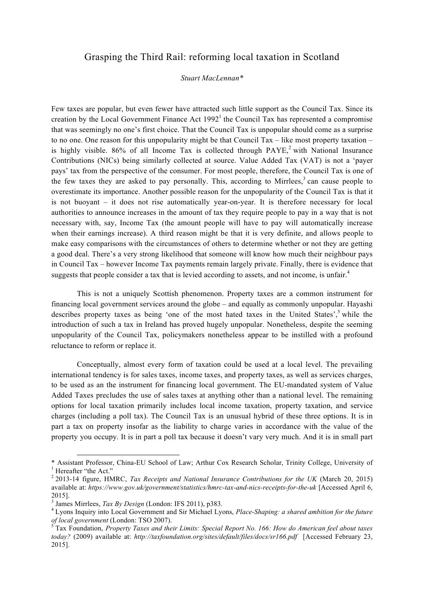## Grasping the Third Rail: reforming local taxation in Scotland

#### *Stuart MacLennan\**

Few taxes are popular, but even fewer have attracted such little support as the Council Tax. Since its creation by the Local Government Finance Act  $1992<sup>1</sup>$  the Council Tax has represented a compromise that was seemingly no one's first choice. That the Council Tax is unpopular should come as a surprise to no one. One reason for this unpopularity might be that Council Tax  $-$  like most property taxation  $$ is highly visible. 86% of all Income Tax is collected through  $PAYE$ , with National Insurance Contributions (NICs) being similarly collected at source. Value Added Tax (VAT) is not a 'payer pays' tax from the perspective of the consumer. For most people, therefore, the Council Tax is one of the few taxes they are asked to pay personally. This, according to Mirrlees,<sup>3</sup> can cause people to overestimate its importance. Another possible reason for the unpopularity of the Council Tax is that it is not buoyant – it does not rise automatically year-on-year. It is therefore necessary for local authorities to announce increases in the amount of tax they require people to pay in a way that is not necessary with, say, Income Tax (the amount people will have to pay will automatically increase when their earnings increase). A third reason might be that it is very definite, and allows people to make easy comparisons with the circumstances of others to determine whether or not they are getting a good deal. There's a very strong likelihood that someone will know how much their neighbour pays in Council Tax – however Income Tax payments remain largely private. Finally, there is evidence that suggests that people consider a tax that is levied according to assets, and not income, is unfair.<sup>4</sup>

This is not a uniquely Scottish phenomenon. Property taxes are a common instrument for financing local government services around the globe – and equally as commonly unpopular. Hayashi describes property taxes as being 'one of the most hated taxes in the United States', <sup>5</sup> while the introduction of such a tax in Ireland has proved hugely unpopular. Nonetheless, despite the seeming unpopularity of the Council Tax, policymakers nonetheless appear to be instilled with a profound reluctance to reform or replace it.

Conceptually, almost every form of taxation could be used at a local level. The prevailing international tendency is for sales taxes, income taxes, and property taxes, as well as services charges, to be used as an the instrument for financing local government. The EU-mandated system of Value Added Taxes precludes the use of sales taxes at anything other than a national level. The remaining options for local taxation primarily includes local income taxation, property taxation, and service charges (including a poll tax). The Council Tax is an unusual hybrid of these three options. It is in part a tax on property insofar as the liability to charge varies in accordance with the value of the property you occupy. It is in part a poll tax because it doesn't vary very much. And it is in small part

l

<sup>\*</sup> Assistant Professor, China-EU School of Law; Arthur Cox Research Scholar, Trinity College, University of 1 Hereafter "the Act."

<sup>2</sup> 2013-14 figure, HMRC, *Tax Receipts and National Insurance Contributions for the UK* (March 20, 2015) available at: *https://www.gov.uk/government/statistics/hmrc-tax-and-nics-receipts-for-the-uk* [Accessed April 6, 2015].<br><sup>3</sup> James Mirrlees, *Tax By Design* (London: IFS 2011), p383.

<sup>&</sup>lt;sup>4</sup> Lyons Inquiry into Local Government and Sir Michael Lyons, *Place-Shaping: a shared ambition for the future of local government* (London: TSO 2007).

*of local government* (London: TSO 2007). <sup>5</sup> Tax Foundation, *Property Taxes and their Limits: Special Report No. 166: How do American feel about taxes today?* (2009) available at: *http://taxfoundation.org/sites/default/files/docs/sr166.pdf* [Accessed February 23, 2015].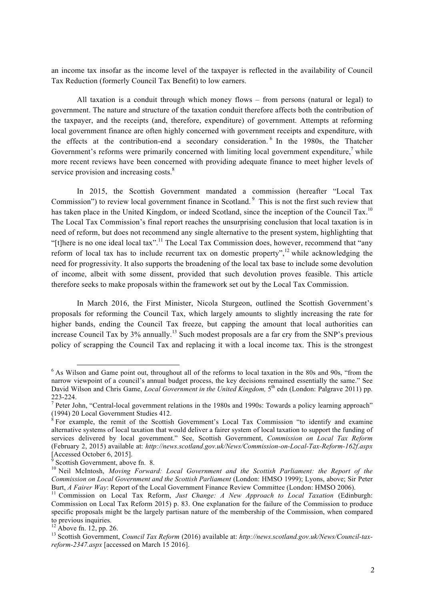an income tax insofar as the income level of the taxpayer is reflected in the availability of Council Tax Reduction (formerly Council Tax Benefit) to low earners.

All taxation is a conduit through which money flows – from persons (natural or legal) to government. The nature and structure of the taxation conduit therefore affects both the contribution of the taxpayer, and the receipts (and, therefore, expenditure) of government. Attempts at reforming local government finance are often highly concerned with government receipts and expenditure, with the effects at the contribution-end a secondary consideration. <sup>6</sup> In the 1980s, the Thatcher Government's reforms were primarily concerned with limiting local government expenditure, $\frac{7}{1}$  while more recent reviews have been concerned with providing adequate finance to meet higher levels of service provision and increasing costs.<sup>8</sup>

In 2015, the Scottish Government mandated a commission (hereafter "Local Tax Commission") to review local government finance in Scotland.<sup>9</sup> This is not the first such review that has taken place in the United Kingdom, or indeed Scotland, since the inception of the Council Tax.<sup>10</sup> The Local Tax Commission's final report reaches the unsurprising conclusion that local taxation is in need of reform, but does not recommend any single alternative to the present system, highlighting that "[t]here is no one ideal local tax".<sup>11</sup> The Local Tax Commission does, however, recommend that "any" reform of local tax has to include recurrent tax on domestic property",  $\frac{12}{12}$  while acknowledging the need for progressivity. It also supports the broadening of the local tax base to include some devolution of income, albeit with some dissent, provided that such devolution proves feasible. This article therefore seeks to make proposals within the framework set out by the Local Tax Commission.

In March 2016, the First Minister, Nicola Sturgeon, outlined the Scottish Government's proposals for reforming the Council Tax, which largely amounts to slightly increasing the rate for higher bands, ending the Council Tax freeze, but capping the amount that local authorities can increase Council Tax by  $3\%$  annually.<sup>13</sup> Such modest proposals are a far cry from the SNP's previous policy of scrapping the Council Tax and replacing it with a local income tax. This is the strongest

<sup>&</sup>lt;sup>6</sup> As Wilson and Game point out, throughout all of the reforms to local taxation in the 80s and 90s, "from the narrow viewpoint of a council's annual budget process, the key decisions remained essentially the same." See David Wilson and Chris Game, *Local Government in the United Kingdom*, 5<sup>th</sup> edn (London: Palgrave 2011) pp. 223-224.<br><sup>7</sup> Peter John, "Central-local government relations in the 1980s and 1990s: Towards a policy learning approach"

<sup>(1994) 20</sup> Local Government Studies 412.

 $8$  For example, the remit of the Scottish Government's Local Tax Commission "to identify and examine alternative systems of local taxation that would deliver a fairer system of local taxation to support the funding of services delivered by local government." See, Scottish Government, *Commission on Local Tax Reform* (February 2, 2015) available at: *http://news.scotland.gov.uk/News/Commission-on-Local-Tax-Reform-162f.aspx* [Accessed October 6, 2015].

<sup>&</sup>lt;sup>10</sup> Neil McIntosh, *Moving Forward: Local Government and the Scottish Parliament: the Report of the Commission on Local Government and the Scottish Parliament* (London: HMSO 1999); Lyons, above; Sir Peter Burt, *A Fairer Way*: Report of the Local Government Finance Review Committee (London: HMSO 2006).

<sup>&</sup>lt;sup>11</sup> Commission on Local Tax Reform, *Just Change: A New Approach to Local Taxation* (Edinburgh: Commission on Local Tax Reform 2015) p. 83. One explanation for the failure of the Commission to produce specific proposals might be the largely partisan nature of the membership of the Commission, when compared to previous inquiries.<br> $^{12}$  Above fn. 12, pp. 26.

<sup>&</sup>lt;sup>13</sup> Scottish Government, *Council Tax Reform* (2016) available at: *http://news.scotland.gov.uk/News/Council-taxreform-2347.aspx* [accessed on March 15 2016].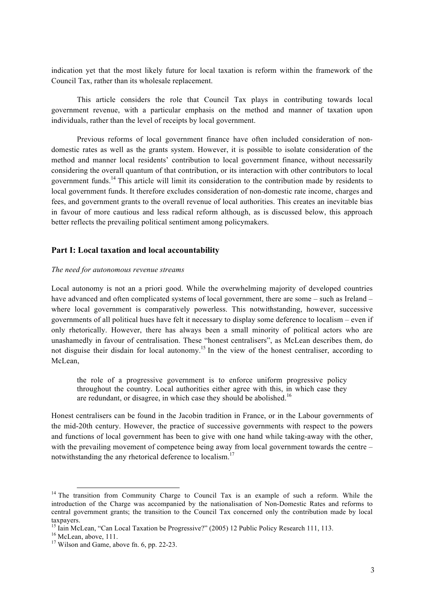indication yet that the most likely future for local taxation is reform within the framework of the Council Tax, rather than its wholesale replacement.

This article considers the role that Council Tax plays in contributing towards local government revenue, with a particular emphasis on the method and manner of taxation upon individuals, rather than the level of receipts by local government.

Previous reforms of local government finance have often included consideration of nondomestic rates as well as the grants system. However, it is possible to isolate consideration of the method and manner local residents' contribution to local government finance, without necessarily considering the overall quantum of that contribution, or its interaction with other contributors to local government funds.<sup>14</sup> This article will limit its consideration to the contribution made by residents to local government funds. It therefore excludes consideration of non-domestic rate income, charges and fees, and government grants to the overall revenue of local authorities. This creates an inevitable bias in favour of more cautious and less radical reform although, as is discussed below, this approach better reflects the prevailing political sentiment among policymakers.

## **Part I: Local taxation and local accountability**

#### *The need for autonomous revenue streams*

Local autonomy is not an a priori good. While the overwhelming majority of developed countries have advanced and often complicated systems of local government, there are some – such as Ireland – where local government is comparatively powerless. This notwithstanding, however, successive governments of all political hues have felt it necessary to display some deference to localism – even if only rhetorically. However, there has always been a small minority of political actors who are unashamedly in favour of centralisation. These "honest centralisers", as McLean describes them, do not disguise their disdain for local autonomy.<sup>15</sup> In the view of the honest centraliser, according to McLean,

the role of a progressive government is to enforce uniform progressive policy throughout the country. Local authorities either agree with this, in which case they are redundant, or disagree, in which case they should be abolished.<sup>16</sup>

Honest centralisers can be found in the Jacobin tradition in France, or in the Labour governments of the mid-20th century. However, the practice of successive governments with respect to the powers and functions of local government has been to give with one hand while taking-away with the other, with the prevailing movement of competence being away from local government towards the centre – notwithstanding the any rhetorical deference to localism.<sup>17</sup>

<sup>&</sup>lt;sup>14</sup> The transition from Community Charge to Council Tax is an example of such a reform. While the introduction of the Charge was accompanied by the nationalisation of Non-Domestic Rates and reforms to central government grants; the transition to the Council Tax concerned only the contribution made by local taxpayers.

<sup>&</sup>lt;sup>15</sup> Iain McLean, "Can Local Taxation be Progressive?" (2005) 12 Public Policy Research 111, 113.<br><sup>16</sup> McLean, above, 111.<br><sup>17</sup> Wilson and Game, above fn. 6, pp. 22-23.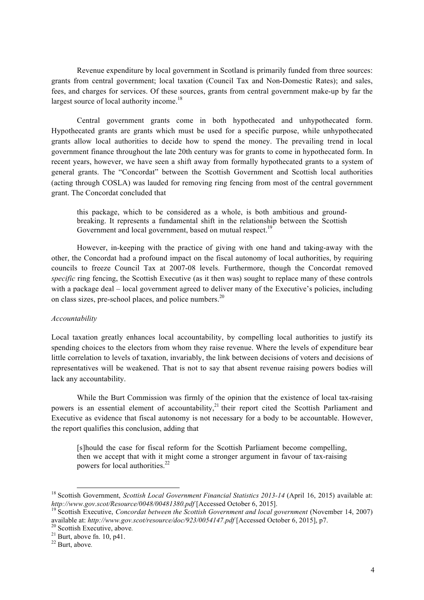Revenue expenditure by local government in Scotland is primarily funded from three sources: grants from central government; local taxation (Council Tax and Non-Domestic Rates); and sales, fees, and charges for services. Of these sources, grants from central government make-up by far the largest source of local authority income.<sup>18</sup>

Central government grants come in both hypothecated and unhypothecated form. Hypothecated grants are grants which must be used for a specific purpose, while unhypothecated grants allow local authorities to decide how to spend the money. The prevailing trend in local government finance throughout the late 20th century was for grants to come in hypothecated form. In recent years, however, we have seen a shift away from formally hypothecated grants to a system of general grants. The "Concordat" between the Scottish Government and Scottish local authorities (acting through COSLA) was lauded for removing ring fencing from most of the central government grant. The Concordat concluded that

this package, which to be considered as a whole, is both ambitious and groundbreaking. It represents a fundamental shift in the relationship between the Scottish Government and local government, based on mutual respect.<sup>19</sup>

However, in-keeping with the practice of giving with one hand and taking-away with the other, the Concordat had a profound impact on the fiscal autonomy of local authorities, by requiring councils to freeze Council Tax at 2007-08 levels. Furthermore, though the Concordat removed *specific* ring fencing, the Scottish Executive (as it then was) sought to replace many of these controls with a package deal – local government agreed to deliver many of the Executive's policies, including on class sizes, pre-school places, and police numbers.<sup>20</sup>

#### *Accountability*

Local taxation greatly enhances local accountability, by compelling local authorities to justify its spending choices to the electors from whom they raise revenue. Where the levels of expenditure bear little correlation to levels of taxation, invariably, the link between decisions of voters and decisions of representatives will be weakened. That is not to say that absent revenue raising powers bodies will lack any accountability.

While the Burt Commission was firmly of the opinion that the existence of local tax-raising powers is an essential element of accountability,<sup>21</sup> their report cited the Scottish Parliament and Executive as evidence that fiscal autonomy is not necessary for a body to be accountable. However, the report qualifies this conclusion, adding that

[s]hould the case for fiscal reform for the Scottish Parliament become compelling, then we accept that with it might come a stronger argument in favour of tax-raising powers for local authorities.<sup>22</sup>

<sup>&</sup>lt;sup>18</sup> Scottish Government, *Scottish Local Government Financial Statistics 2013-14* (April 16, 2015) available at:<br>http://www.gov.scot/Resource/0048/00481380.pdf [Accessed October 6, 2015].

<sup>&</sup>lt;sup>19</sup> Scottish Executive, *Concordat between the Scottish Government and local government* (November 14, 2007) available at: *http://www.gov.scot/resource/doc/923/0054147.pdf* [Accessed October 6, 2015], p7.<br><sup>20</sup> Scottish Executive, above.<br><sup>21</sup> Burt, above fn. 10, p41.<br><sup>22</sup> Burt, above.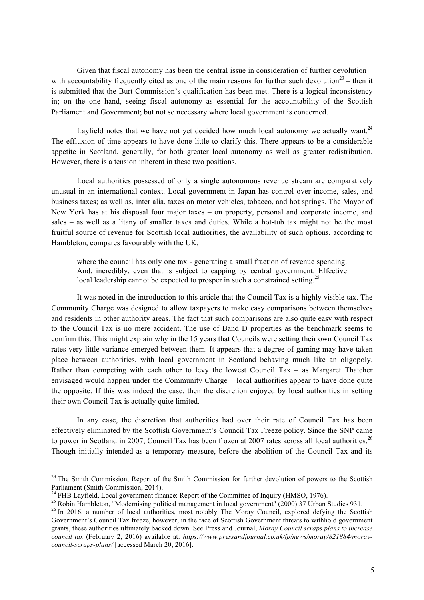Given that fiscal autonomy has been the central issue in consideration of further devolution – with accountability frequently cited as one of the main reasons for further such devolution<sup>23</sup> – then it is submitted that the Burt Commission's qualification has been met. There is a logical inconsistency in; on the one hand, seeing fiscal autonomy as essential for the accountability of the Scottish Parliament and Government; but not so necessary where local government is concerned.

Layfield notes that we have not yet decided how much local autonomy we actually want. $24$ The effluxion of time appears to have done little to clarify this. There appears to be a considerable appetite in Scotland, generally, for both greater local autonomy as well as greater redistribution. However, there is a tension inherent in these two positions.

Local authorities possessed of only a single autonomous revenue stream are comparatively unusual in an international context. Local government in Japan has control over income, sales, and business taxes; as well as, inter alia, taxes on motor vehicles, tobacco, and hot springs. The Mayor of New York has at his disposal four major taxes – on property, personal and corporate income, and sales – as well as a litany of smaller taxes and duties. While a hot-tub tax might not be the most fruitful source of revenue for Scottish local authorities, the availability of such options, according to Hambleton, compares favourably with the UK,

where the council has only one tax - generating a small fraction of revenue spending. And, incredibly, even that is subject to capping by central government. Effective local leadership cannot be expected to prosper in such a constrained setting.<sup>25</sup>

It was noted in the introduction to this article that the Council Tax is a highly visible tax. The Community Charge was designed to allow taxpayers to make easy comparisons between themselves and residents in other authority areas. The fact that such comparisons are also quite easy with respect to the Council Tax is no mere accident. The use of Band D properties as the benchmark seems to confirm this. This might explain why in the 15 years that Councils were setting their own Council Tax rates very little variance emerged between them. It appears that a degree of gaming may have taken place between authorities, with local government in Scotland behaving much like an oligopoly. Rather than competing with each other to levy the lowest Council Tax – as Margaret Thatcher envisaged would happen under the Community Charge – local authorities appear to have done quite the opposite. If this was indeed the case, then the discretion enjoyed by local authorities in setting their own Council Tax is actually quite limited.

In any case, the discretion that authorities had over their rate of Council Tax has been effectively eliminated by the Scottish Government's Council Tax Freeze policy. Since the SNP came to power in Scotland in 2007, Council Tax has been frozen at 2007 rates across all local authorities.<sup>26</sup> Though initially intended as a temporary measure, before the abolition of the Council Tax and its

<sup>&</sup>lt;sup>23</sup> The Smith Commission, Report of the Smith Commission for further devolution of powers to the Scottish Parliament (Smith Commission, 2014).<br><sup>24</sup> FHB Lavfield, Local government finance: Report of the Committee of Inquiry (HMSO, 1976).

<sup>&</sup>lt;sup>25</sup> Robin Hambleton, "Modernising political management in local government" (2000) 37 Urban Studies 931.<br><sup>26</sup> In 2016, a number of local authorities, most notably The Moray Council, explored defying the Scottish Government's Council Tax freeze, however, in the face of Scottish Government threats to withhold government grants, these authorities ultimately backed down. See Press and Journal, *Moray Council scraps plans to increase council tax* (February 2, 2016) available at: *https://www.pressandjournal.co.uk/fp/news/moray/821884/moraycouncil-scraps-plans/* [accessed March 20, 2016].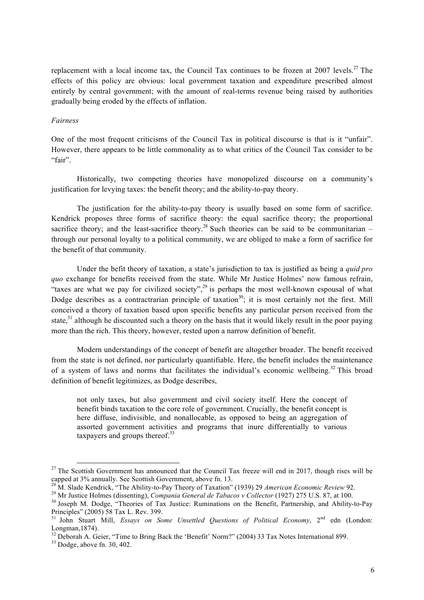replacement with a local income tax, the Council Tax continues to be frozen at 2007 levels.<sup>27</sup> The effects of this policy are obvious: local government taxation and expenditure prescribed almost entirely by central government; with the amount of real-terms revenue being raised by authorities gradually being eroded by the effects of inflation.

## *Fairness*

One of the most frequent criticisms of the Council Tax in political discourse is that is it "unfair". However, there appears to be little commonality as to what critics of the Council Tax consider to be "fair".

Historically, two competing theories have monopolized discourse on a community's justification for levying taxes: the benefit theory; and the ability-to-pay theory.

The justification for the ability-to-pay theory is usually based on some form of sacrifice. Kendrick proposes three forms of sacrifice theory: the equal sacrifice theory; the proportional sacrifice theory; and the least-sacrifice theory.<sup>28</sup> Such theories can be said to be communitarian – through our personal loyalty to a political community, we are obliged to make a form of sacrifice for the benefit of that community.

Under the befit theory of taxation, a state's jurisdiction to tax is justified as being a *quid pro quo* exchange for benefits received from the state. While Mr Justice Holmes' now famous refrain, "taxes are what we pay for civilized society",  $29$  is perhaps the most well-known espousal of what Dodge describes as a contractrarian principle of taxation<sup>30</sup>; it is most certainly not the first. Mill conceived a theory of taxation based upon specific benefits any particular person received from the state,<sup>31</sup> although he discounted such a theory on the basis that it would likely result in the poor paying more than the rich. This theory, however, rested upon a narrow definition of benefit.

Modern understandings of the concept of benefit are altogether broader. The benefit received from the state is not defined, nor particularly quantifiable. Here, the benefit includes the maintenance of a system of laws and norms that facilitates the individual's economic wellbeing.<sup>32</sup> This broad definition of benefit legitimizes, as Dodge describes,

not only taxes, but also government and civil society itself. Here the concept of benefit binds taxation to the core role of government. Crucially, the benefit concept is here diffuse, indivisible, and nonallocable, as opposed to being an aggregation of assorted government activities and programs that inure differentially to various taxpayers and groups thereof. $33$ 

<sup>&</sup>lt;sup>27</sup> The Scottish Government has announced that the Council Tax freeze will end in 2017, though rises will be capped at  $3\%$  annually. See Scottish Government, above fn. 13.

<sup>&</sup>lt;sup>28</sup> M. Slade Kendrick, "The Ability-to-Pay Theory of Taxation" (1939) 29 American Economic Review 92.<br><sup>29</sup> Mr Justice Holmes (dissenting), *Compania General de Tabacos v Collector* (1927) 275 U.S. 87, at 100.<br><sup>30</sup> Joseph

Principles" (2005) 58 Tax L. Rev. 399.

<sup>&</sup>lt;sup>31</sup> John Stuart Mill, *Essays on Some Unsettled Questions of Political Economy*, 2<sup>nd</sup> edn (London: Longman,1874).<br><sup>32</sup> Deborah A. Geier, "Time to Bring Back the 'Benefit' Norm?" (2004) 33 Tax Notes International 899.<br><sup>33</sup> Dodge, above fn. 30, 402.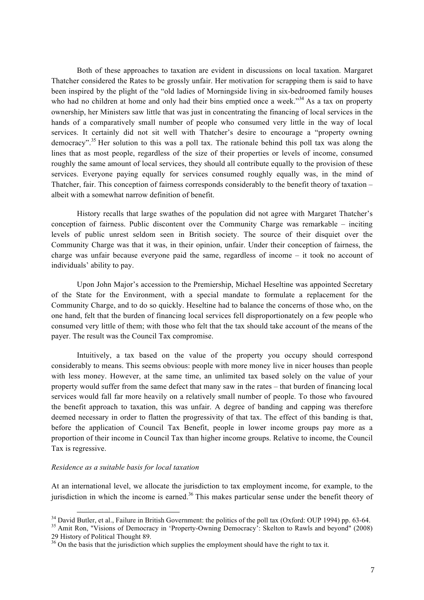Both of these approaches to taxation are evident in discussions on local taxation. Margaret Thatcher considered the Rates to be grossly unfair. Her motivation for scrapping them is said to have been inspired by the plight of the "old ladies of Morningside living in six-bedroomed family houses who had no children at home and only had their bins emptied once a week."<sup>34</sup> As a tax on property ownership, her Ministers saw little that was just in concentrating the financing of local services in the hands of a comparatively small number of people who consumed very little in the way of local services. It certainly did not sit well with Thatcher's desire to encourage a "property owning democracy".<sup>35</sup> Her solution to this was a poll tax. The rationale behind this poll tax was along the lines that as most people, regardless of the size of their properties or levels of income, consumed roughly the same amount of local services, they should all contribute equally to the provision of these services. Everyone paying equally for services consumed roughly equally was, in the mind of Thatcher, fair. This conception of fairness corresponds considerably to the benefit theory of taxation – albeit with a somewhat narrow definition of benefit.

History recalls that large swathes of the population did not agree with Margaret Thatcher's conception of fairness. Public discontent over the Community Charge was remarkable – inciting levels of public unrest seldom seen in British society. The source of their disquiet over the Community Charge was that it was, in their opinion, unfair. Under their conception of fairness, the charge was unfair because everyone paid the same, regardless of income – it took no account of individuals' ability to pay.

Upon John Major's accession to the Premiership, Michael Heseltine was appointed Secretary of the State for the Environment, with a special mandate to formulate a replacement for the Community Charge, and to do so quickly. Heseltine had to balance the concerns of those who, on the one hand, felt that the burden of financing local services fell disproportionately on a few people who consumed very little of them; with those who felt that the tax should take account of the means of the payer. The result was the Council Tax compromise.

Intuitively, a tax based on the value of the property you occupy should correspond considerably to means. This seems obvious: people with more money live in nicer houses than people with less money. However, at the same time, an unlimited tax based solely on the value of your property would suffer from the same defect that many saw in the rates – that burden of financing local services would fall far more heavily on a relatively small number of people. To those who favoured the benefit approach to taxation, this was unfair. A degree of banding and capping was therefore deemed necessary in order to flatten the progressivity of that tax. The effect of this banding is that, before the application of Council Tax Benefit, people in lower income groups pay more as a proportion of their income in Council Tax than higher income groups. Relative to income, the Council Tax is regressive.

#### *Residence as a suitable basis for local taxation*

At an international level, we allocate the jurisdiction to tax employment income, for example, to the jurisdiction in which the income is earned.<sup>36</sup> This makes particular sense under the benefit theory of

<sup>&</sup>lt;sup>34</sup> David Butler, et al., Failure in British Government: the politics of the poll tax (Oxford: OUP 1994) pp. 63-64.<br><sup>35</sup> Amit Ron, "Visions of Democracy in 'Property-Owning Democracy': Skelton to Rawls and beyond" (2008)

<sup>29</sup> History of Political Thought 89.  $^{36}$  On the basis that the jurisdiction which supplies the employment should have the right to tax it.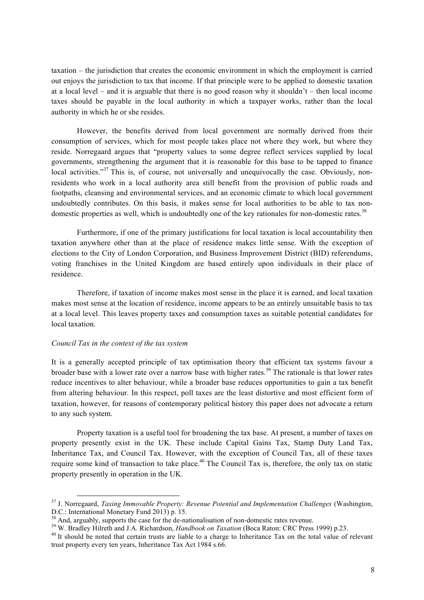taxation – the jurisdiction that creates the economic environment in which the employment is carried out enjoys the jurisdiction to tax that income. If that principle were to be applied to domestic taxation at a local level – and it is arguable that there is no good reason why it shouldn't – then local income taxes should be payable in the local authority in which a taxpayer works, rather than the local authority in which he or she resides.

However, the benefits derived from local government are normally derived from their consumption of services, which for most people takes place not where they work, but where they reside. Norregaard argues that "property values to some degree reflect services supplied by local governments, strengthening the argument that it is reasonable for this base to be tapped to finance local activities."<sup>37</sup> This is, of course, not universally and unequivocally the case. Obviously, nonresidents who work in a local authority area still benefit from the provision of public roads and footpaths, cleansing and environmental services, and an economic climate to which local government undoubtedly contributes. On this basis, it makes sense for local authorities to be able to tax nondomestic properties as well, which is undoubtedly one of the key rationales for non-domestic rates.<sup>38</sup>

Furthermore, if one of the primary justifications for local taxation is local accountability then taxation anywhere other than at the place of residence makes little sense. With the exception of elections to the City of London Corporation, and Business Improvement District (BID) referendums, voting franchises in the United Kingdom are based entirely upon individuals in their place of residence.

Therefore, if taxation of income makes most sense in the place it is earned, and local taxation makes most sense at the location of residence, income appears to be an entirely unsuitable basis to tax at a local level. This leaves property taxes and consumption taxes as suitable potential candidates for local taxation.

#### *Council Tax in the context of the tax system*

It is a generally accepted principle of tax optimisation theory that efficient tax systems favour a broader base with a lower rate over a narrow base with higher rates.<sup>39</sup> The rationale is that lower rates reduce incentives to alter behaviour, while a broader base reduces opportunities to gain a tax benefit from altering behaviour. In this respect, poll taxes are the least distortive and most efficient form of taxation, however, for reasons of contemporary political history this paper does not advocate a return to any such system.

Property taxation is a useful tool for broadening the tax base. At present, a number of taxes on property presently exist in the UK. These include Capital Gains Tax, Stamp Duty Land Tax, Inheritance Tax, and Council Tax. However, with the exception of Council Tax, all of these taxes require some kind of transaction to take place.<sup>40</sup> The Council Tax is, therefore, the only tax on static property presently in operation in the UK.

 <sup>37</sup> J. Norregaard, *Taxing Immovable Property: Revenue Potential and Implementation Challenges* (Washington, D.C.: International Monetary Fund 2013) p. 15.<br> $38$  And, arguably, supports the case for the de-nationalisation of non-domestic rates revenue.

<sup>&</sup>lt;sup>39</sup> W. Bradley Hilreth and J.A. Richardson, *Handbook on Taxation* (Boca Raton: CRC Press 1999) p.23.<br><sup>40</sup> It should be noted that certain trusts are liable to a charge to Inheritance Tax on the total value of relevant trust property every ten years, Inheritance Tax Act 1984 s.66.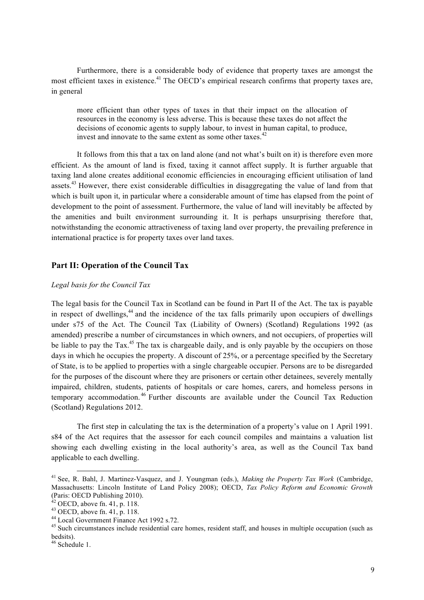Furthermore, there is a considerable body of evidence that property taxes are amongst the most efficient taxes in existence.<sup>41</sup> The OECD's empirical research confirms that property taxes are, in general

more efficient than other types of taxes in that their impact on the allocation of resources in the economy is less adverse. This is because these taxes do not affect the decisions of economic agents to supply labour, to invest in human capital, to produce, invest and innovate to the same extent as some other taxes.<sup>42</sup>

It follows from this that a tax on land alone (and not what's built on it) is therefore even more efficient. As the amount of land is fixed, taxing it cannot affect supply. It is further arguable that taxing land alone creates additional economic efficiencies in encouraging efficient utilisation of land assets.<sup>43</sup> However, there exist considerable difficulties in disaggregating the value of land from that which is built upon it, in particular where a considerable amount of time has elapsed from the point of development to the point of assessment. Furthermore, the value of land will inevitably be affected by the amenities and built environment surrounding it. It is perhaps unsurprising therefore that, notwithstanding the economic attractiveness of taxing land over property, the prevailing preference in international practice is for property taxes over land taxes.

## **Part II: Operation of the Council Tax**

## *Legal basis for the Council Tax*

The legal basis for the Council Tax in Scotland can be found in Part II of the Act. The tax is payable in respect of dwellings, $44$  and the incidence of the tax falls primarily upon occupiers of dwellings under s75 of the Act. The Council Tax (Liability of Owners) (Scotland) Regulations 1992 (as amended) prescribe a number of circumstances in which owners, and not occupiers, of properties will be liable to pay the Tax.<sup>45</sup> The tax is chargeable daily, and is only payable by the occupiers on those days in which he occupies the property. A discount of 25%, or a percentage specified by the Secretary of State, is to be applied to properties with a single chargeable occupier. Persons are to be disregarded for the purposes of the discount where they are prisoners or certain other detainees, severely mentally impaired, children, students, patients of hospitals or care homes, carers, and homeless persons in temporary accommodation. <sup>46</sup> Further discounts are available under the Council Tax Reduction (Scotland) Regulations 2012.

The first step in calculating the tax is the determination of a property's value on 1 April 1991. s84 of the Act requires that the assessor for each council compiles and maintains a valuation list showing each dwelling existing in the local authority's area, as well as the Council Tax band applicable to each dwelling.

 <sup>41</sup> See, R. Bahl, J. Martinez-Vasquez, and J. Youngman (eds.), *Making the Property Tax Work* (Cambridge, Massachusetts: Lincoln Institute of Land Policy 2008); OECD, *Tax Policy Reform and Economic Growth*  (Paris: OECD Publishing 2010).<br><sup>42</sup> OECD, above fn. 41, p. 118.

<sup>43</sup> OECD, above fn. 41, p. 118.<br>  $^{43}$  OECD, above fn. 41, p. 118.<br>  $^{44}$  Local Government Finance Act 1992 s.72.<br>  $^{45}$  Such circumstances include residential care homes, resident staff, and houses in multiple occupati bedsits).

<sup>&</sup>lt;sup>46</sup> Schedule 1.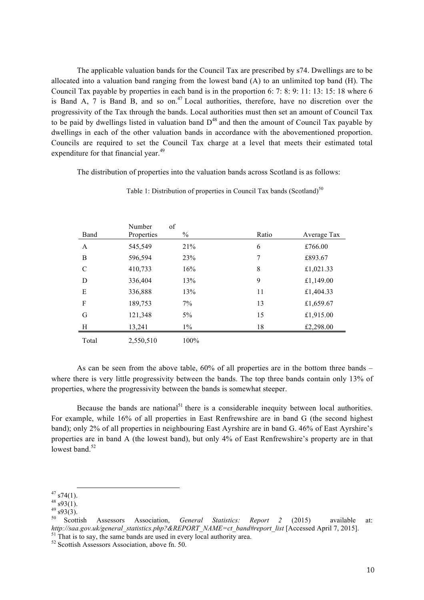The applicable valuation bands for the Council Tax are prescribed by s74. Dwellings are to be allocated into a valuation band ranging from the lowest band (A) to an unlimited top band (H). The Council Tax payable by properties in each band is in the proportion 6: 7: 8: 9: 11: 13: 15: 18 where 6 is Band A, 7 is Band B, and so on.<sup>47</sup> Local authorities, therefore, have no discretion over the progressivity of the Tax through the bands. Local authorities must then set an amount of Council Tax to be paid by dwellings listed in valuation band  $D^{48}$  and then the amount of Council Tax payable by dwellings in each of the other valuation bands in accordance with the abovementioned proportion. Councils are required to set the Council Tax charge at a level that meets their estimated total expenditure for that financial year.<sup>49</sup>

The distribution of properties into the valuation bands across Scotland is as follows:

|               | Number     | of    |       |             |
|---------------|------------|-------|-------|-------------|
| Band          | Properties | $\%$  | Ratio | Average Tax |
| A             | 545,549    | 21%   | 6     | £766.00     |
| B             | 596,594    | 23%   | 7     | £893.67     |
| $\mathcal{C}$ | 410,733    | 16%   | 8     | £1,021.33   |
| D             | 336,404    | 13%   | 9     | £1,149.00   |
| E             | 336,888    | 13%   | 11    | £1,404.33   |
| F             | 189,753    | $7\%$ | 13    | £1,659.67   |
| G             | 121,348    | $5\%$ | 15    | £1,915.00   |
| H             | 13,241     | $1\%$ | 18    | £2,298.00   |
| Total         | 2,550,510  | 100%  |       |             |

Table 1: Distribution of properties in Council Tax bands (Scotland)<sup>50</sup>

As can be seen from the above table, 60% of all properties are in the bottom three bands – where there is very little progressivity between the bands. The top three bands contain only 13% of properties, where the progressivity between the bands is somewhat steeper.

Because the bands are national<sup>51</sup> there is a considerable inequity between local authorities. For example, while 16% of all properties in East Renfrewshire are in band G (the second highest band); only 2% of all properties in neighbouring East Ayrshire are in band G. 46% of East Ayrshire's properties are in band A (the lowest band), but only 4% of East Renfrewshire's property are in that lowest band. $52$ 

<sup>47</sup> s74(1).<br><sup>48</sup> s93(1).<br><sup>49</sup> s93(3).<br><sup>50</sup> Scottish Assessors Association, *General Statistics: Report 2* (2015) available at: <sup>50</sup> Scottish Assessors Association, *General Statistics: Report 2* (2015) available *http://saa.gov.uk/general\_statistics.php?&REPORT\_NAME=ct\_band#report\_list* [Accessed April 7, 2015].<br><sup>51</sup> That is to say, the same band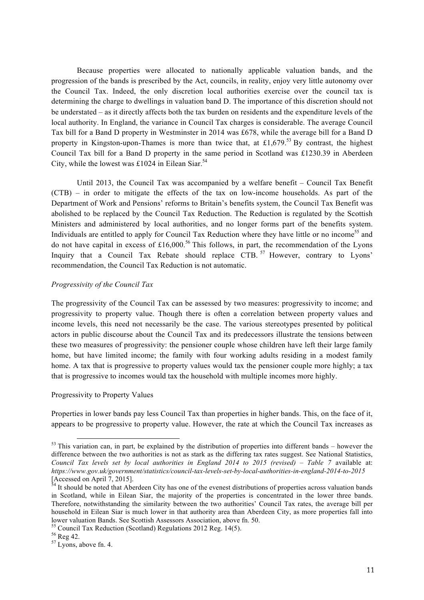Because properties were allocated to nationally applicable valuation bands, and the progression of the bands is prescribed by the Act, councils, in reality, enjoy very little autonomy over the Council Tax. Indeed, the only discretion local authorities exercise over the council tax is determining the charge to dwellings in valuation band D. The importance of this discretion should not be understated – as it directly affects both the tax burden on residents and the expenditure levels of the local authority. In England, the variance in Council Tax charges is considerable. The average Council Tax bill for a Band D property in Westminster in 2014 was £678, while the average bill for a Band D property in Kingston-upon-Thames is more than twice that, at £1,679.<sup>53</sup> By contrast, the highest Council Tax bill for a Band D property in the same period in Scotland was £1230.39 in Aberdeen City, while the lowest was £1024 in Eilean Siar.<sup>54</sup>

Until 2013, the Council Tax was accompanied by a welfare benefit – Council Tax Benefit (CTB) – in order to mitigate the effects of the tax on low-income households. As part of the Department of Work and Pensions' reforms to Britain's benefits system, the Council Tax Benefit was abolished to be replaced by the Council Tax Reduction. The Reduction is regulated by the Scottish Ministers and administered by local authorities, and no longer forms part of the benefits system. Individuals are entitled to apply for Council Tax Reduction where they have little or no income<sup>55</sup> and do not have capital in excess of  $£16,000<sup>56</sup>$  This follows, in part, the recommendation of the Lyons Inquiry that a Council Tax Rebate should replace  $CTB$ .<sup>57</sup> However, contrary to Lyons' recommendation, the Council Tax Reduction is not automatic.

#### *Progressivity of the Council Tax*

The progressivity of the Council Tax can be assessed by two measures: progressivity to income; and progressivity to property value. Though there is often a correlation between property values and income levels, this need not necessarily be the case. The various stereotypes presented by political actors in public discourse about the Council Tax and its predecessors illustrate the tensions between these two measures of progressivity: the pensioner couple whose children have left their large family home, but have limited income; the family with four working adults residing in a modest family home. A tax that is progressive to property values would tax the pensioner couple more highly; a tax that is progressive to incomes would tax the household with multiple incomes more highly.

## Progressivity to Property Values

Properties in lower bands pay less Council Tax than properties in higher bands. This, on the face of it, appears to be progressive to property value. However, the rate at which the Council Tax increases as

 $<sup>53</sup>$  This variation can, in part, be explained by the distribution of properties into different bands – however the</sup> difference between the two authorities is not as stark as the differing tax rates suggest. See National Statistics, *Council Tax levels set by local authorities in England 2014 to 2015 (revised) – Table 7* available at: *https://www.gov.uk/government/statistics/council-tax-levels-set-by-local-authorities-in-england-2014-to-2015* [Accessed on April 7, 2015].

 $54$  It should be noted that Aberdeen City has one of the evenest distributions of properties across valuation bands in Scotland, while in Eilean Siar, the majority of the properties is concentrated in the lower three bands. Therefore, notwithstanding the similarity between the two authorities' Council Tax rates, the average bill per household in Eilean Siar is much lower in that authority area than Aberdeen City, as more properties fall into lower valuation Bands. See Scottish Assessors Association, above fn. 50.<br><sup>55</sup> Council Tax Reduction (Scotland) Regulations 2012 Reg. 14(5).<br><sup>56</sup> Reg 42.<br><sup>57</sup> Lyons, above fn. 4.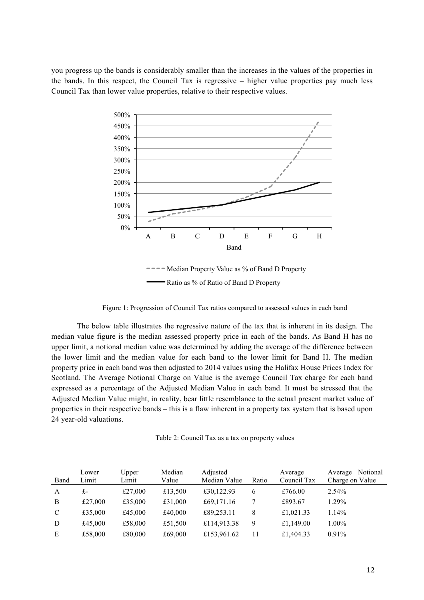you progress up the bands is considerably smaller than the increases in the values of the properties in the bands. In this respect, the Council Tax is regressive – higher value properties pay much less Council Tax than lower value properties, relative to their respective values.



Ratio as % of Ratio of Band D Property

Figure 1: Progression of Council Tax ratios compared to assessed values in each band

The below table illustrates the regressive nature of the tax that is inherent in its design. The median value figure is the median assessed property price in each of the bands. As Band H has no upper limit, a notional median value was determined by adding the average of the difference between the lower limit and the median value for each band to the lower limit for Band H. The median property price in each band was then adjusted to 2014 values using the Halifax House Prices Index for Scotland. The Average Notional Charge on Value is the average Council Tax charge for each band expressed as a percentage of the Adjusted Median Value in each band. It must be stressed that the Adjusted Median Value might, in reality, bear little resemblance to the actual present market value of properties in their respective bands – this is a flaw inherent in a property tax system that is based upon 24 year-old valuations.

Table 2: Council Tax as a tax on property values

| Band | Lower<br>Limit | Upper<br>Limit | Median<br>Value | Adjusted<br>Median Value | Ratio | Average<br>Council Tax | Notional<br>Average<br>Charge on Value |
|------|----------------|----------------|-----------------|--------------------------|-------|------------------------|----------------------------------------|
| A    | £-             | £27,000        | £13,500         | £30,122.93               | 6     | £766.00                | 2.54%                                  |
| B    | £27,000        | £35,000        | £31,000         | £69,171.16               |       | £893.67                | 1.29%                                  |
| C    | £35,000        | £45,000        | £40,000         | £89,253.11               | 8     | £1,021.33              | $1.14\%$                               |
| D    | £45,000        | £58,000        | £51,500         | £114,913.38              | 9     | £1,149.00              | 1.00%                                  |
| E    | £58,000        | £80,000        | £69,000         | £153,961.62              | 11    | £1,404.33              | 0.91%                                  |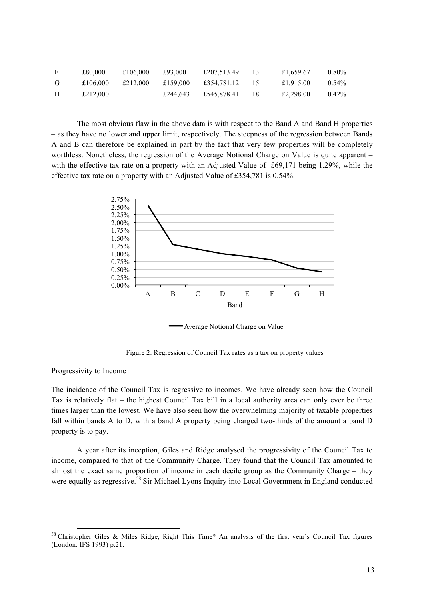|   | £80,000  | £106,000 | £93.000  | £207,513.49 | £1,659.67 | $0.80\%$ |
|---|----------|----------|----------|-------------|-----------|----------|
| G | £106,000 | £212.000 | £159,000 | £354.781.12 | £1,915.00 | $0.54\%$ |
|   | £212,000 |          | £244,643 | £545,878.41 | £2,298.00 | $0.42\%$ |

The most obvious flaw in the above data is with respect to the Band A and Band H properties – as they have no lower and upper limit, respectively. The steepness of the regression between Bands A and B can therefore be explained in part by the fact that very few properties will be completely worthless. Nonetheless, the regression of the Average Notional Charge on Value is quite apparent – with the effective tax rate on a property with an Adjusted Value of £69,171 being 1.29%, while the effective tax rate on a property with an Adjusted Value of £354,781 is 0.54%.



Average Notional Charge on Value

Figure 2: Regression of Council Tax rates as a tax on property values

## Progressivity to Income

The incidence of the Council Tax is regressive to incomes. We have already seen how the Council Tax is relatively flat – the highest Council Tax bill in a local authority area can only ever be three times larger than the lowest. We have also seen how the overwhelming majority of taxable properties fall within bands A to D, with a band A property being charged two-thirds of the amount a band D property is to pay.

A year after its inception, Giles and Ridge analysed the progressivity of the Council Tax to income, compared to that of the Community Charge. They found that the Council Tax amounted to almost the exact same proportion of income in each decile group as the Community Charge – they were equally as regressive.<sup>58</sup> Sir Michael Lyons Inquiry into Local Government in England conducted

 <sup>58</sup> Christopher Giles & Miles Ridge, Right This Time? An analysis of the first year's Council Tax figures (London: IFS 1993) p.21.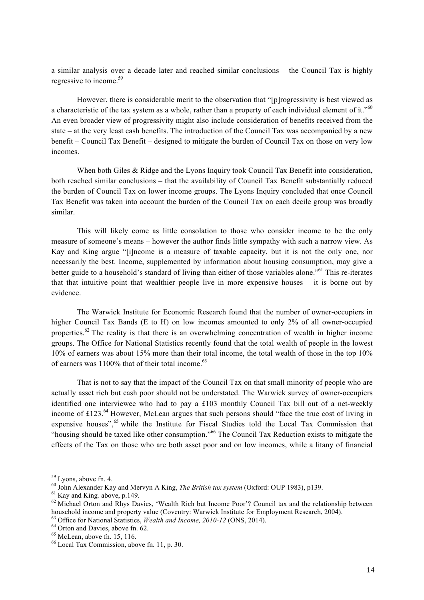a similar analysis over a decade later and reached similar conclusions – the Council Tax is highly regressive to income.<sup>59</sup>

However, there is considerable merit to the observation that "[p]rogressivity is best viewed as a characteristic of the tax system as a whole, rather than a property of each individual element of it."<sup>60</sup> An even broader view of progressivity might also include consideration of benefits received from the state – at the very least cash benefits. The introduction of the Council Tax was accompanied by a new benefit – Council Tax Benefit – designed to mitigate the burden of Council Tax on those on very low incomes.

When both Giles & Ridge and the Lyons Inquiry took Council Tax Benefit into consideration, both reached similar conclusions – that the availability of Council Tax Benefit substantially reduced the burden of Council Tax on lower income groups. The Lyons Inquiry concluded that once Council Tax Benefit was taken into account the burden of the Council Tax on each decile group was broadly similar.

This will likely come as little consolation to those who consider income to be the only measure of someone's means – however the author finds little sympathy with such a narrow view. As Kay and King argue "[i]ncome is a measure of taxable capacity, but it is not the only one, nor necessarily the best. Income, supplemented by information about housing consumption, may give a better guide to a household's standard of living than either of those variables alone."<sup>61</sup> This re-iterates that that intuitive point that wealthier people live in more expensive houses – it is borne out by evidence.

The Warwick Institute for Economic Research found that the number of owner-occupiers in higher Council Tax Bands (E to H) on low incomes amounted to only 2% of all owner-occupied properties.<sup>62</sup> The reality is that there is an overwhelming concentration of wealth in higher income groups. The Office for National Statistics recently found that the total wealth of people in the lowest 10% of earners was about 15% more than their total income, the total wealth of those in the top 10% of earners was 1100% that of their total income.<sup>63</sup>

That is not to say that the impact of the Council Tax on that small minority of people who are actually asset rich but cash poor should not be understated. The Warwick survey of owner-occupiers identified one interviewee who had to pay a £103 monthly Council Tax bill out of a net-weekly income of £123.<sup>64</sup> However, McLean argues that such persons should "face the true cost of living in expensive houses",<sup>65</sup> while the Institute for Fiscal Studies told the Local Tax Commission that "housing should be taxed like other consumption."<sup>66</sup> The Council Tax Reduction exists to mitigate the effects of the Tax on those who are both asset poor and on low incomes, while a litany of financial

<sup>&</sup>lt;sup>59</sup> Lyons, above fn. 4.<br><sup>60</sup> John Alexander Kay and Mervyn A King, *The British tax system* (Oxford: OUP 1983), p139.<br><sup>61</sup> Kay and King, above, p.149.<br><sup>62</sup> Michael Orton and Rhys Davies. 'Wealth Rich but Income Poor'? Co

household income and property value (Coventry: Warwick Institute for Employment Research, 2004).

<sup>&</sup>lt;sup>63</sup> Office for National Statistics, *Wealth and Income, 2010-12* (ONS, 2014).<br><sup>64</sup> Orton and Davies, above fn. 62.<br><sup>65</sup> McLean, above fn. 15, 116.<br><sup>66</sup> Local Tax Commission, above fn. 11, p. 30.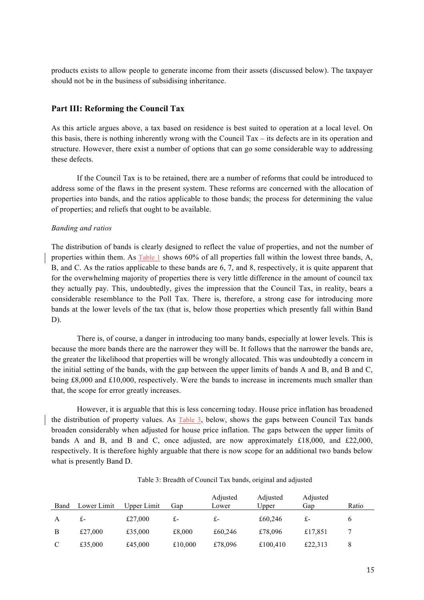products exists to allow people to generate income from their assets (discussed below). The taxpayer should not be in the business of subsidising inheritance.

## **Part III: Reforming the Council Tax**

As this article argues above, a tax based on residence is best suited to operation at a local level. On this basis, there is nothing inherently wrong with the Council Tax – its defects are in its operation and structure. However, there exist a number of options that can go some considerable way to addressing these defects.

If the Council Tax is to be retained, there are a number of reforms that could be introduced to address some of the flaws in the present system. These reforms are concerned with the allocation of properties into bands, and the ratios applicable to those bands; the process for determining the value of properties; and reliefs that ought to be available.

#### *Banding and ratios*

The distribution of bands is clearly designed to reflect the value of properties, and not the number of properties within them. As Table 1 shows 60% of all properties fall within the lowest three bands, A, B, and C. As the ratios applicable to these bands are 6, 7, and 8, respectively, it is quite apparent that for the overwhelming majority of properties there is very little difference in the amount of council tax they actually pay. This, undoubtedly, gives the impression that the Council Tax, in reality, bears a considerable resemblance to the Poll Tax. There is, therefore, a strong case for introducing more bands at the lower levels of the tax (that is, below those properties which presently fall within Band D).

There is, of course, a danger in introducing too many bands, especially at lower levels. This is because the more bands there are the narrower they will be. It follows that the narrower the bands are, the greater the likelihood that properties will be wrongly allocated. This was undoubtedly a concern in the initial setting of the bands, with the gap between the upper limits of bands A and B, and B and C, being £8,000 and £10,000, respectively. Were the bands to increase in increments much smaller than that, the scope for error greatly increases.

However, it is arguable that this is less concerning today. House price inflation has broadened the distribution of property values. As Table 3, below, shows the gaps between Council Tax bands broaden considerably when adjusted for house price inflation. The gaps between the upper limits of bands A and B, and B and C, once adjusted, are now approximately £18,000, and £22,000, respectively. It is therefore highly arguable that there is now scope for an additional two bands below what is presently Band D.

| Band          | Lower Limit | Upper Limit | Gap     | Adjusted<br>Lower | Adjusted<br>Upper | Adjusted<br>Gap | Ratio |
|---------------|-------------|-------------|---------|-------------------|-------------------|-----------------|-------|
| А             | £-          | £27,000     | £-      | £-                | £60,246           | £-              | 6     |
| B             | £27,000     | £35,000     | £8,000  | £60,246           | £78,096           | £17,851         |       |
| $\mathcal{C}$ | £35,000     | £45,000     | £10,000 | £78,096           | £100,410          | £22,313         | 8     |

Table 3: Breadth of Council Tax bands, original and adjusted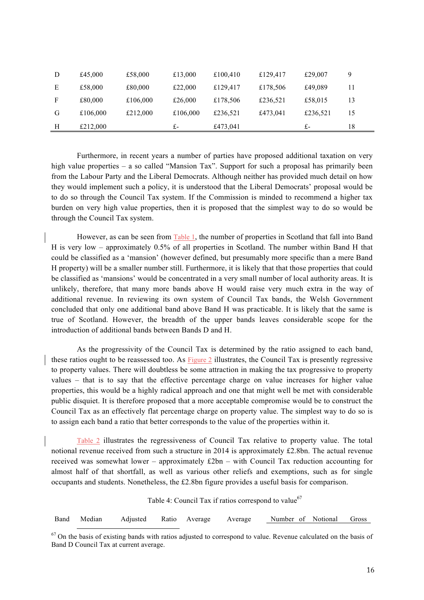| D | £45,000  | £58,000  | £13,000  | £100,410 | £129,417 | £29,007  | 9  |
|---|----------|----------|----------|----------|----------|----------|----|
| Е | £58,000  | £80,000  | £22,000  | £129,417 | £178,506 | £49,089  | 11 |
| F | £80,000  | £106,000 | £26,000  | £178,506 | £236,521 | £58,015  | 13 |
| G | £106,000 | £212,000 | £106,000 | £236,521 | £473,041 | £236,521 | 15 |
| Н | £212,000 |          | £-       | £473,041 |          | £-       | 18 |

Furthermore, in recent years a number of parties have proposed additional taxation on very high value properties – a so called "Mansion Tax". Support for such a proposal has primarily been from the Labour Party and the Liberal Democrats. Although neither has provided much detail on how they would implement such a policy, it is understood that the Liberal Democrats' proposal would be to do so through the Council Tax system. If the Commission is minded to recommend a higher tax burden on very high value properties, then it is proposed that the simplest way to do so would be through the Council Tax system.

However, as can be seen from Table 1, the number of properties in Scotland that fall into Band H is very low – approximately 0.5% of all properties in Scotland. The number within Band H that could be classified as a 'mansion' (however defined, but presumably more specific than a mere Band H property) will be a smaller number still. Furthermore, it is likely that that those properties that could be classified as 'mansions' would be concentrated in a very small number of local authority areas. It is unlikely, therefore, that many more bands above H would raise very much extra in the way of additional revenue. In reviewing its own system of Council Tax bands, the Welsh Government concluded that only one additional band above Band H was practicable. It is likely that the same is true of Scotland. However, the breadth of the upper bands leaves considerable scope for the introduction of additional bands between Bands D and H.

As the progressivity of the Council Tax is determined by the ratio assigned to each band, these ratios ought to be reassessed too. As Figure 2 illustrates, the Council Tax is presently regressive to property values. There will doubtless be some attraction in making the tax progressive to property values – that is to say that the effective percentage charge on value increases for higher value properties, this would be a highly radical approach and one that might well be met with considerable public disquiet. It is therefore proposed that a more acceptable compromise would be to construct the Council Tax as an effectively flat percentage charge on property value. The simplest way to do so is to assign each band a ratio that better corresponds to the value of the properties within it.

Table 2 illustrates the regressiveness of Council Tax relative to property value. The total notional revenue received from such a structure in 2014 is approximately £2.8bn. The actual revenue received was somewhat lower – approximately  $£2bn - with Council Tax reduction accounting for$ almost half of that shortfall, as well as various other reliefs and exemptions, such as for single occupants and students. Nonetheless, the £2.8bn figure provides a useful basis for comparison.

Table 4: Council Tax if ratios correspond to value<sup>67</sup>

Band Median Adjusted Ratio Average Average Number of Notional Gross

 $67$  On the basis of existing bands with ratios adjusted to correspond to value. Revenue calculated on the basis of Band D Council Tax at current average.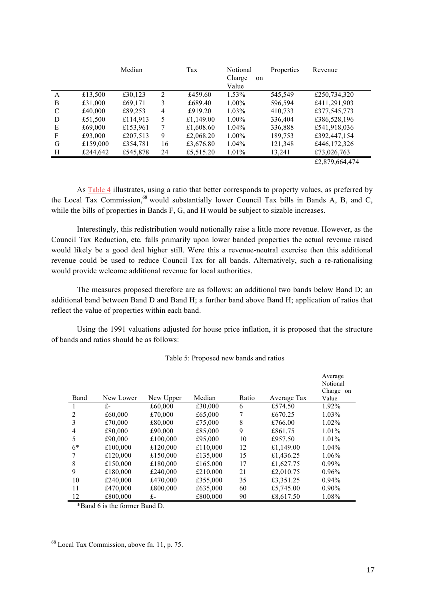|   |          | Median   |    | Tax       | Notional<br>Charge<br>on<br>Value | Properties | Revenue                   |
|---|----------|----------|----|-----------|-----------------------------------|------------|---------------------------|
| A | £13,500  | £30,123  | 2  | £459.60   | $1.53\%$                          | 545,549    | £250,734,320              |
| B | £31,000  | £69,171  | 3  | £689.40   | $1.00\%$                          | 596,594    | £411,291,903              |
| C | £40,000  | £89,253  | 4  | £919.20   | $1.03\%$                          | 410,733    | £377,545,773              |
| D | £51,500  | £114,913 | 5  | £1,149.00 | $1.00\%$                          | 336,404    | £386,528,196              |
| E | £69,000  | £153,961 | 7  | £1,608.60 | $1.04\%$                          | 336,888    | £541,918,036              |
| F | £93,000  | £207,513 | 9  | £2,068.20 | $1.00\%$                          | 189,753    | £392,447,154              |
| G | £159,000 | £354,781 | 16 | £3,676.80 | $1.04\%$                          | 121,348    | £446,172,326              |
| H | £244,642 | £545,878 | 24 | £5,515.20 | $1.01\%$                          | 13,241     | £73,026,763               |
|   |          |          |    |           |                                   |            | $AA$ $0.70$ $0.61$ $1.71$ |

£2,879,664,474

As Table 4 illustrates, using a ratio that better corresponds to property values, as preferred by the Local Tax Commission,<sup>68</sup> would substantially lower Council Tax bills in Bands A, B, and C, while the bills of properties in Bands F, G, and H would be subject to sizable increases.

Interestingly, this redistribution would notionally raise a little more revenue. However, as the Council Tax Reduction, etc*.* falls primarily upon lower banded properties the actual revenue raised would likely be a good deal higher still. Were this a revenue-neutral exercise then this additional revenue could be used to reduce Council Tax for all bands. Alternatively, such a re-rationalising would provide welcome additional revenue for local authorities.

The measures proposed therefore are as follows: an additional two bands below Band D; an additional band between Band D and Band H; a further band above Band H; application of ratios that reflect the value of properties within each band.

Using the 1991 valuations adjusted for house price inflation, it is proposed that the structure of bands and ratios should be as follows:

| Table 5: Proposed new bands and ratios |  |  |
|----------------------------------------|--|--|
|----------------------------------------|--|--|

| Band | New Lower | New Upper | Median   | Ratio | Average Tax | Average<br>Notional<br>Charge on<br>Value |
|------|-----------|-----------|----------|-------|-------------|-------------------------------------------|
|      | £-        | £60,000   | £30,000  | 6     | £574.50     | 1.92%                                     |
| 2    | £60,000   | £70,000   | £65,000  |       | £670.25     | 1.03%                                     |
| 3    | £70,000   | £80,000   | £75,000  | 8     | £766.00     | 1.02%                                     |
| 4    | £80,000   | £90,000   | £85,000  | 9     | £861.75     | 1.01%                                     |
| 5    | £90,000   | £100,000  | £95,000  | 10    | £957.50     | 1.01%                                     |
| $6*$ | £100,000  | £120,000  | £110,000 | 12    | £1,149.00   | 1.04%                                     |
| 7    | £120,000  | £150,000  | £135,000 | 15    | £1,436.25   | 1.06%                                     |
| 8    | £150,000  | £180,000  | £165,000 | 17    | £1,627.75   | $0.99\%$                                  |
| 9    | £180,000  | £240,000  | £210,000 | 21    | £2,010.75   | $0.96\%$                                  |
| 10   | £240,000  | £470,000  | £355,000 | 35    | £3,351.25   | $0.94\%$                                  |
| 11   | £470,000  | £800,000  | £635,000 | 60    | £5,745.00   | $0.90\%$                                  |
| 12   | £800,000  | £-        | £800,000 | 90    | £8,617.50   | 1.08%                                     |

\*Band 6 is the former Band D.

68 Local Tax Commission, above fn. 11, p. 75.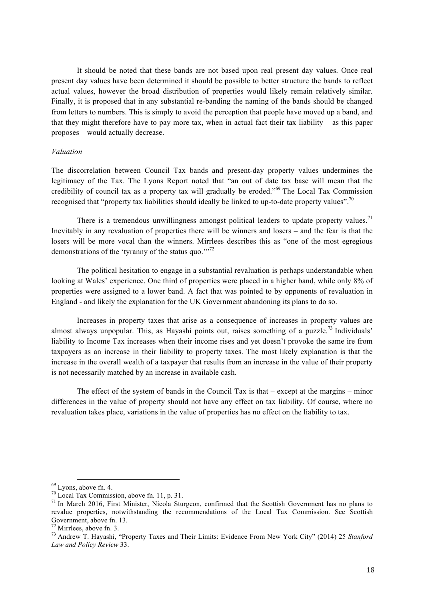It should be noted that these bands are not based upon real present day values. Once real present day values have been determined it should be possible to better structure the bands to reflect actual values, however the broad distribution of properties would likely remain relatively similar. Finally, it is proposed that in any substantial re-banding the naming of the bands should be changed from letters to numbers. This is simply to avoid the perception that people have moved up a band, and that they might therefore have to pay more tax, when in actual fact their tax liability – as this paper proposes – would actually decrease.

#### *Valuation*

The discorrelation between Council Tax bands and present-day property values undermines the legitimacy of the Tax. The Lyons Report noted that "an out of date tax base will mean that the credibility of council tax as a property tax will gradually be eroded."<sup>69</sup> The Local Tax Commission recognised that "property tax liabilities should ideally be linked to up-to-date property values".<sup>70</sup>

There is a tremendous unwillingness amongst political leaders to update property values.<sup>71</sup> Inevitably in any revaluation of properties there will be winners and losers – and the fear is that the losers will be more vocal than the winners. Mirrlees describes this as "one of the most egregious demonstrations of the 'tyranny of the status quo.'"<sup>72</sup>

The political hesitation to engage in a substantial revaluation is perhaps understandable when looking at Wales' experience. One third of properties were placed in a higher band, while only 8% of properties were assigned to a lower band. A fact that was pointed to by opponents of revaluation in England - and likely the explanation for the UK Government abandoning its plans to do so.

Increases in property taxes that arise as a consequence of increases in property values are almost always unpopular. This, as Hayashi points out, raises something of a puzzle.<sup>73</sup> Individuals' liability to Income Tax increases when their income rises and yet doesn't provoke the same ire from taxpayers as an increase in their liability to property taxes. The most likely explanation is that the increase in the overall wealth of a taxpayer that results from an increase in the value of their property is not necessarily matched by an increase in available cash.

The effect of the system of bands in the Council Tax is that – except at the margins – minor differences in the value of property should not have any effect on tax liability. Of course, where no revaluation takes place, variations in the value of properties has no effect on the liability to tax.

<sup>&</sup>lt;sup>69</sup> Lyons, above fn. 4.<br><sup>70</sup> Local Tax Commission, above fn. 11, p. 31.<br><sup>71</sup> In March 2016, First Minister, Nicola Sturgeon, confirmed that the Scottish Government has no plans to revalue properties, notwithstanding the recommendations of the Local Tax Commission. See Scottish

Government, above fn. 13. <sup>72</sup> Mirrlees, above fn. 3. <sup>73</sup> Andrew T. Hayashi, "Property Taxes and Their Limits: Evidence From New York City" (2014) 25 *Stanford Law and Policy Review* 33.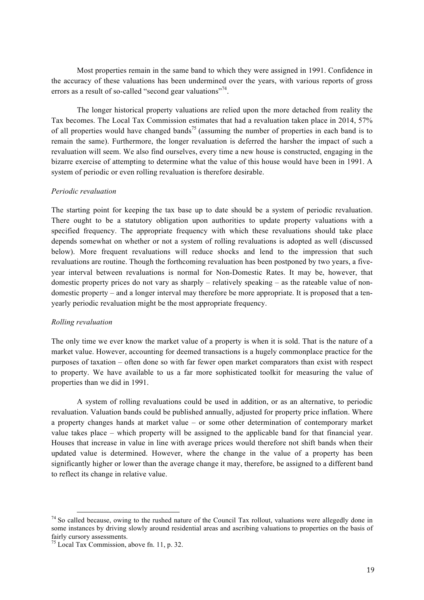Most properties remain in the same band to which they were assigned in 1991. Confidence in the accuracy of these valuations has been undermined over the years, with various reports of gross errors as a result of so-called "second gear valuations"<sup>74</sup>.

The longer historical property valuations are relied upon the more detached from reality the Tax becomes. The Local Tax Commission estimates that had a revaluation taken place in 2014, 57% of all properties would have changed bands<sup>75</sup> (assuming the number of properties in each band is to remain the same). Furthermore, the longer revaluation is deferred the harsher the impact of such a revaluation will seem. We also find ourselves, every time a new house is constructed, engaging in the bizarre exercise of attempting to determine what the value of this house would have been in 1991. A system of periodic or even rolling revaluation is therefore desirable.

#### *Periodic revaluation*

The starting point for keeping the tax base up to date should be a system of periodic revaluation. There ought to be a statutory obligation upon authorities to update property valuations with a specified frequency. The appropriate frequency with which these revaluations should take place depends somewhat on whether or not a system of rolling revaluations is adopted as well (discussed below). More frequent revaluations will reduce shocks and lend to the impression that such revaluations are routine. Though the forthcoming revaluation has been postponed by two years, a fiveyear interval between revaluations is normal for Non-Domestic Rates. It may be, however, that domestic property prices do not vary as sharply – relatively speaking – as the rateable value of nondomestic property – and a longer interval may therefore be more appropriate. It is proposed that a tenyearly periodic revaluation might be the most appropriate frequency.

#### *Rolling revaluation*

The only time we ever know the market value of a property is when it is sold. That is the nature of a market value. However, accounting for deemed transactions is a hugely commonplace practice for the purposes of taxation – often done so with far fewer open market comparators than exist with respect to property. We have available to us a far more sophisticated toolkit for measuring the value of properties than we did in 1991.

A system of rolling revaluations could be used in addition, or as an alternative, to periodic revaluation. Valuation bands could be published annually, adjusted for property price inflation. Where a property changes hands at market value – or some other determination of contemporary market value takes place – which property will be assigned to the applicable band for that financial year. Houses that increase in value in line with average prices would therefore not shift bands when their updated value is determined. However, where the change in the value of a property has been significantly higher or lower than the average change it may, therefore, be assigned to a different band to reflect its change in relative value.

 $74$  So called because, owing to the rushed nature of the Council Tax rollout, valuations were allegedly done in some instances by driving slowly around residential areas and ascribing valuations to properties on the basis of fairly cursory assessments.

<sup>75</sup> Local Tax Commission, above fn. 11, p. 32.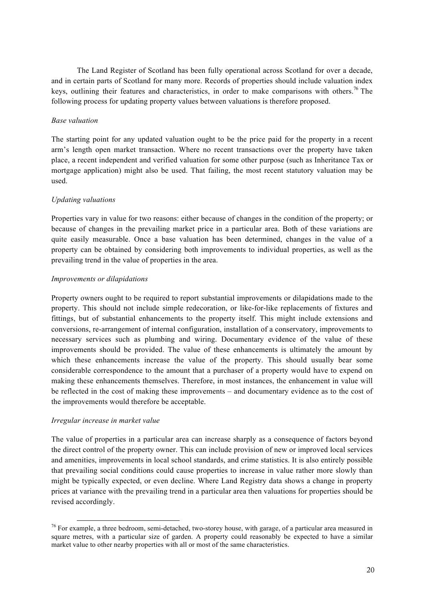The Land Register of Scotland has been fully operational across Scotland for over a decade, and in certain parts of Scotland for many more. Records of properties should include valuation index keys, outlining their features and characteristics, in order to make comparisons with others.<sup>76</sup> The following process for updating property values between valuations is therefore proposed.

## *Base valuation*

The starting point for any updated valuation ought to be the price paid for the property in a recent arm's length open market transaction. Where no recent transactions over the property have taken place, a recent independent and verified valuation for some other purpose (such as Inheritance Tax or mortgage application) might also be used. That failing, the most recent statutory valuation may be used.

## *Updating valuations*

Properties vary in value for two reasons: either because of changes in the condition of the property; or because of changes in the prevailing market price in a particular area. Both of these variations are quite easily measurable. Once a base valuation has been determined, changes in the value of a property can be obtained by considering both improvements to individual properties, as well as the prevailing trend in the value of properties in the area.

## *Improvements or dilapidations*

Property owners ought to be required to report substantial improvements or dilapidations made to the property. This should not include simple redecoration, or like-for-like replacements of fixtures and fittings, but of substantial enhancements to the property itself. This might include extensions and conversions, re-arrangement of internal configuration, installation of a conservatory, improvements to necessary services such as plumbing and wiring. Documentary evidence of the value of these improvements should be provided. The value of these enhancements is ultimately the amount by which these enhancements increase the value of the property. This should usually bear some considerable correspondence to the amount that a purchaser of a property would have to expend on making these enhancements themselves. Therefore, in most instances, the enhancement in value will be reflected in the cost of making these improvements – and documentary evidence as to the cost of the improvements would therefore be acceptable.

## *Irregular increase in market value*

The value of properties in a particular area can increase sharply as a consequence of factors beyond the direct control of the property owner. This can include provision of new or improved local services and amenities, improvements in local school standards, and crime statistics. It is also entirely possible that prevailing social conditions could cause properties to increase in value rather more slowly than might be typically expected, or even decline. Where Land Registry data shows a change in property prices at variance with the prevailing trend in a particular area then valuations for properties should be revised accordingly.

 $76$  For example, a three bedroom, semi-detached, two-storey house, with garage, of a particular area measured in square metres, with a particular size of garden. A property could reasonably be expected to have a similar market value to other nearby properties with all or most of the same characteristics.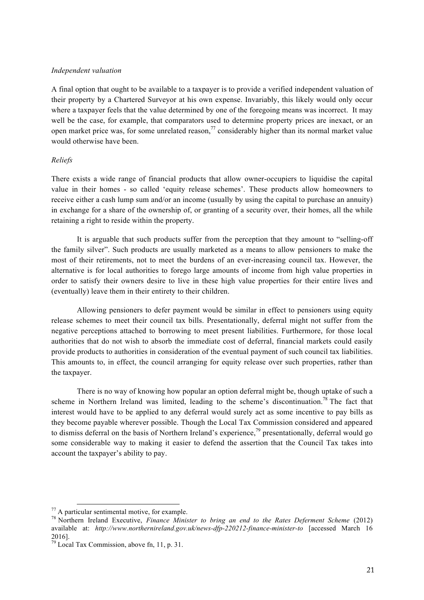#### *Independent valuation*

A final option that ought to be available to a taxpayer is to provide a verified independent valuation of their property by a Chartered Surveyor at his own expense. Invariably, this likely would only occur where a taxpayer feels that the value determined by one of the foregoing means was incorrect. It may well be the case, for example, that comparators used to determine property prices are inexact, or an open market price was, for some unrelated reason, $\frac{7}{7}$  considerably higher than its normal market value would otherwise have been.

#### *Reliefs*

There exists a wide range of financial products that allow owner-occupiers to liquidise the capital value in their homes - so called 'equity release schemes'. These products allow homeowners to receive either a cash lump sum and/or an income (usually by using the capital to purchase an annuity) in exchange for a share of the ownership of, or granting of a security over, their homes, all the while retaining a right to reside within the property.

It is arguable that such products suffer from the perception that they amount to "selling-off the family silver". Such products are usually marketed as a means to allow pensioners to make the most of their retirements, not to meet the burdens of an ever-increasing council tax. However, the alternative is for local authorities to forego large amounts of income from high value properties in order to satisfy their owners desire to live in these high value properties for their entire lives and (eventually) leave them in their entirety to their children.

Allowing pensioners to defer payment would be similar in effect to pensioners using equity release schemes to meet their council tax bills. Presentationally, deferral might not suffer from the negative perceptions attached to borrowing to meet present liabilities. Furthermore, for those local authorities that do not wish to absorb the immediate cost of deferral, financial markets could easily provide products to authorities in consideration of the eventual payment of such council tax liabilities. This amounts to, in effect, the council arranging for equity release over such properties, rather than the taxpayer.

There is no way of knowing how popular an option deferral might be, though uptake of such a scheme in Northern Ireland was limited, leading to the scheme's discontinuation.<sup>78</sup> The fact that interest would have to be applied to any deferral would surely act as some incentive to pay bills as they become payable wherever possible. Though the Local Tax Commission considered and appeared to dismiss deferral on the basis of Northern Ireland's experience, $\frac{79}{9}$  presentationally, deferral would go some considerable way to making it easier to defend the assertion that the Council Tax takes into account the taxpayer's ability to pay.

<sup>77</sup> A particular sentimental motive, for example. <sup>78</sup> Northern Ireland Executive, *Finance Minister to bring an end to the Rates Deferment Scheme* (2012) available at: *http://www.northernireland.gov.uk/news-dfp-220212-finance-minister-to* [accessed March 16 2016].

 $79^{\frac{79}{19}}$  Local Tax Commission, above fn, 11, p. 31.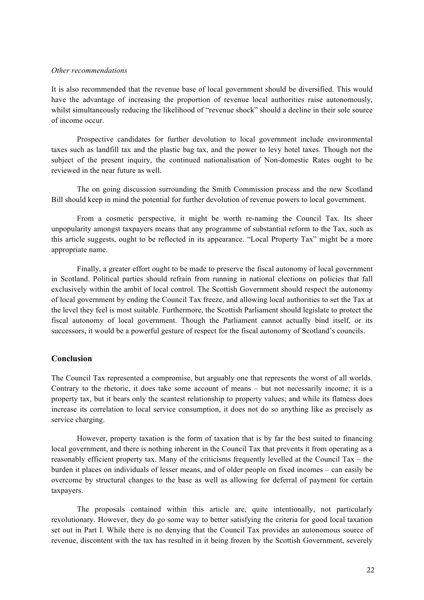#### *Other recommendations*

It is also recommended that the revenue base of local government should be diversified. This would have the advantage of increasing the proportion of revenue local authorities raise autonomously, whilst simultaneously reducing the likelihood of "revenue shock" should a decline in their sole source of income occur.

Prospective candidates for further devolution to local government include environmental taxes such as landfill tax and the plastic bag tax, and the power to levy hotel taxes. Though not the subject of the present inquiry, the continued nationalisation of Non-domestic Rates ought to be reviewed in the near future as well.

The on going discussion surrounding the Smith Commission process and the new Scotland Bill should keep in mind the potential for further devolution of revenue powers to local government.

From a cosmetic perspective, it might be worth re-naming the Council Tax. Its sheer unpopularity amongst taxpayers means that any programme of substantial reform to the Tax, such as this article suggests, ought to be reflected in its appearance. "Local Property Tax" might be a more appropriate name.

Finally, a greater effort ought to be made to preserve the fiscal autonomy of local government in Scotland. Political parties should refrain from running in national elections on policies that fall exclusively within the ambit of local control. The Scottish Government should respect the autonomy of local government by ending the Council Tax freeze, and allowing local authorities to set the Tax at the level they feel is most suitable. Furthermore, the Scottish Parliament should legislate to protect the fiscal autonomy of local government. Though the Parliament cannot actually bind itself, or its successors, it would be a powerful gesture of respect for the fiscal autonomy of Scotland's councils.

## **Conclusion**

The Council Tax represented a compromise, but arguably one that represents the worst of all worlds. Contrary to the rhetoric, it does take some account of means – but not necessarily income; it is a property tax, but it bears only the scantest relationship to property values; and while its flatness does increase its correlation to local service consumption, it does not do so anything like as precisely as service charging.

However, property taxation is the form of taxation that is by far the best suited to financing local government, and there is nothing inherent in the Council Tax that prevents it from operating as a reasonably efficient property tax. Many of the criticisms frequently levelled at the Council Tax – the burden it places on individuals of lesser means, and of older people on fixed incomes – can easily be overcome by structural changes to the base as well as allowing for deferral of payment for certain taxpayers.

The proposals contained within this article are, quite intentionally, not particularly revolutionary. However, they do go some way to better satisfying the criteria for good local taxation set out in Part I. While there is no denying that the Council Tax provides an autonomous source of revenue, discontent with the tax has resulted in it being frozen by the Scottish Government, severely